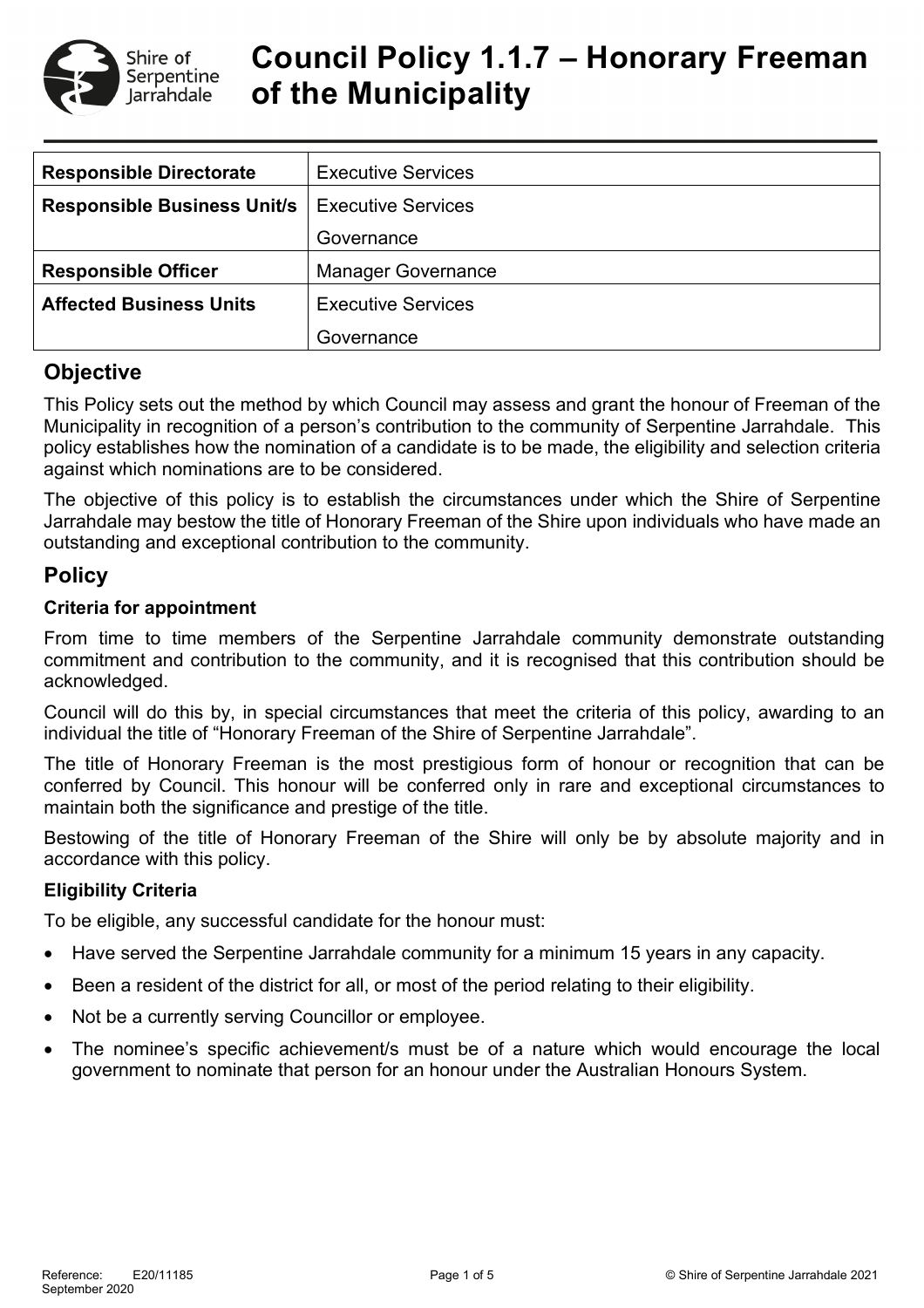

# **Council Policy 1.1.7 – Honorary Freeman of the Municipality**

| <b>Responsible Directorate</b>     | <b>Executive Services</b> |  |
|------------------------------------|---------------------------|--|
| <b>Responsible Business Unit/s</b> | <b>Executive Services</b> |  |
|                                    | Governance                |  |
| <b>Responsible Officer</b>         | <b>Manager Governance</b> |  |
| <b>Affected Business Units</b>     | <b>Executive Services</b> |  |
|                                    | Governance                |  |

## **Objective**

This Policy sets out the method by which Council may assess and grant the honour of Freeman of the Municipality in recognition of a person's contribution to the community of Serpentine Jarrahdale. This policy establishes how the nomination of a candidate is to be made, the eligibility and selection criteria against which nominations are to be considered.

The objective of this policy is to establish the circumstances under which the Shire of Serpentine Jarrahdale may bestow the title of Honorary Freeman of the Shire upon individuals who have made an outstanding and exceptional contribution to the community.

## **Policy**

#### **Criteria for appointment**

From time to time members of the Serpentine Jarrahdale community demonstrate outstanding commitment and contribution to the community, and it is recognised that this contribution should be acknowledged.

Council will do this by, in special circumstances that meet the criteria of this policy, awarding to an individual the title of "Honorary Freeman of the Shire of Serpentine Jarrahdale".

The title of Honorary Freeman is the most prestigious form of honour or recognition that can be conferred by Council. This honour will be conferred only in rare and exceptional circumstances to maintain both the significance and prestige of the title.

Bestowing of the title of Honorary Freeman of the Shire will only be by absolute majority and in accordance with this policy.

#### **Eligibility Criteria**

To be eligible, any successful candidate for the honour must:

- Have served the Serpentine Jarrahdale community for a minimum 15 years in any capacity.
- Been a resident of the district for all, or most of the period relating to their eligibility.
- Not be a currently serving Councillor or employee.
- The nominee's specific achievement/s must be of a nature which would encourage the local government to nominate that person for an honour under the Australian Honours System.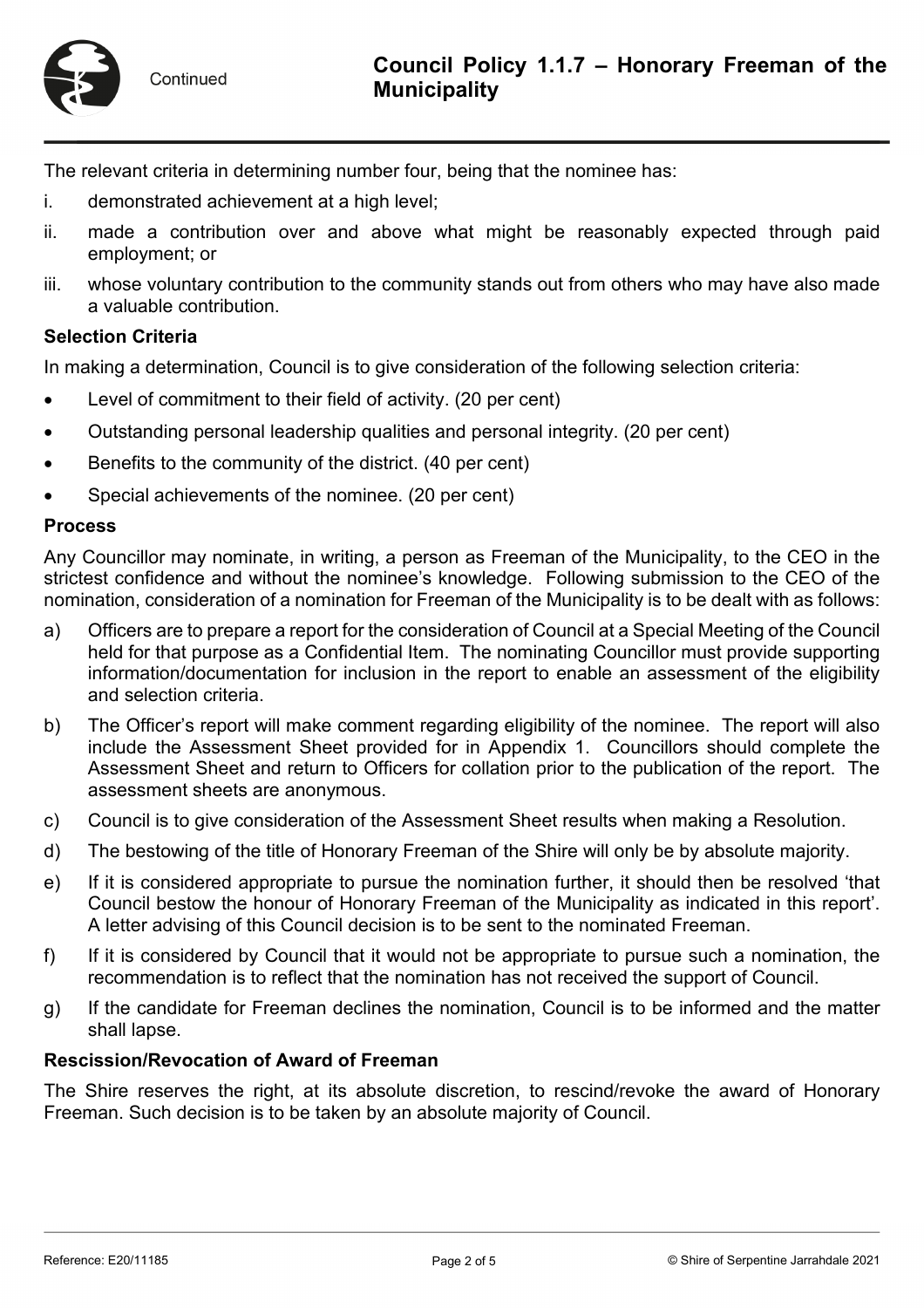

The relevant criteria in determining number four, being that the nominee has:

- i. demonstrated achievement at a high level;
- ii. made a contribution over and above what might be reasonably expected through paid employment; or
- iii. whose voluntary contribution to the community stands out from others who may have also made a valuable contribution.

#### **Selection Criteria**

In making a determination, Council is to give consideration of the following selection criteria:

- Level of commitment to their field of activity. (20 per cent)
- Outstanding personal leadership qualities and personal integrity. (20 per cent)
- Benefits to the community of the district. (40 per cent)
- Special achievements of the nominee. (20 per cent)

#### **Process**

Any Councillor may nominate, in writing, a person as Freeman of the Municipality, to the CEO in the strictest confidence and without the nominee's knowledge. Following submission to the CEO of the nomination, consideration of a nomination for Freeman of the Municipality is to be dealt with as follows:

- a) Officers are to prepare a report for the consideration of Council at a Special Meeting of the Council held for that purpose as a Confidential Item. The nominating Councillor must provide supporting information/documentation for inclusion in the report to enable an assessment of the eligibility and selection criteria.
- b) The Officer's report will make comment regarding eligibility of the nominee. The report will also include the Assessment Sheet provided for in Appendix 1. Councillors should complete the Assessment Sheet and return to Officers for collation prior to the publication of the report. The assessment sheets are anonymous.
- c) Council is to give consideration of the Assessment Sheet results when making a Resolution.
- d) The bestowing of the title of Honorary Freeman of the Shire will only be by absolute majority.
- e) If it is considered appropriate to pursue the nomination further, it should then be resolved 'that Council bestow the honour of Honorary Freeman of the Municipality as indicated in this report'. A letter advising of this Council decision is to be sent to the nominated Freeman.
- f) If it is considered by Council that it would not be appropriate to pursue such a nomination, the recommendation is to reflect that the nomination has not received the support of Council.
- g) If the candidate for Freeman declines the nomination, Council is to be informed and the matter shall lapse.

#### **Rescission/Revocation of Award of Freeman**

The Shire reserves the right, at its absolute discretion, to rescind/revoke the award of Honorary Freeman. Such decision is to be taken by an absolute majority of Council.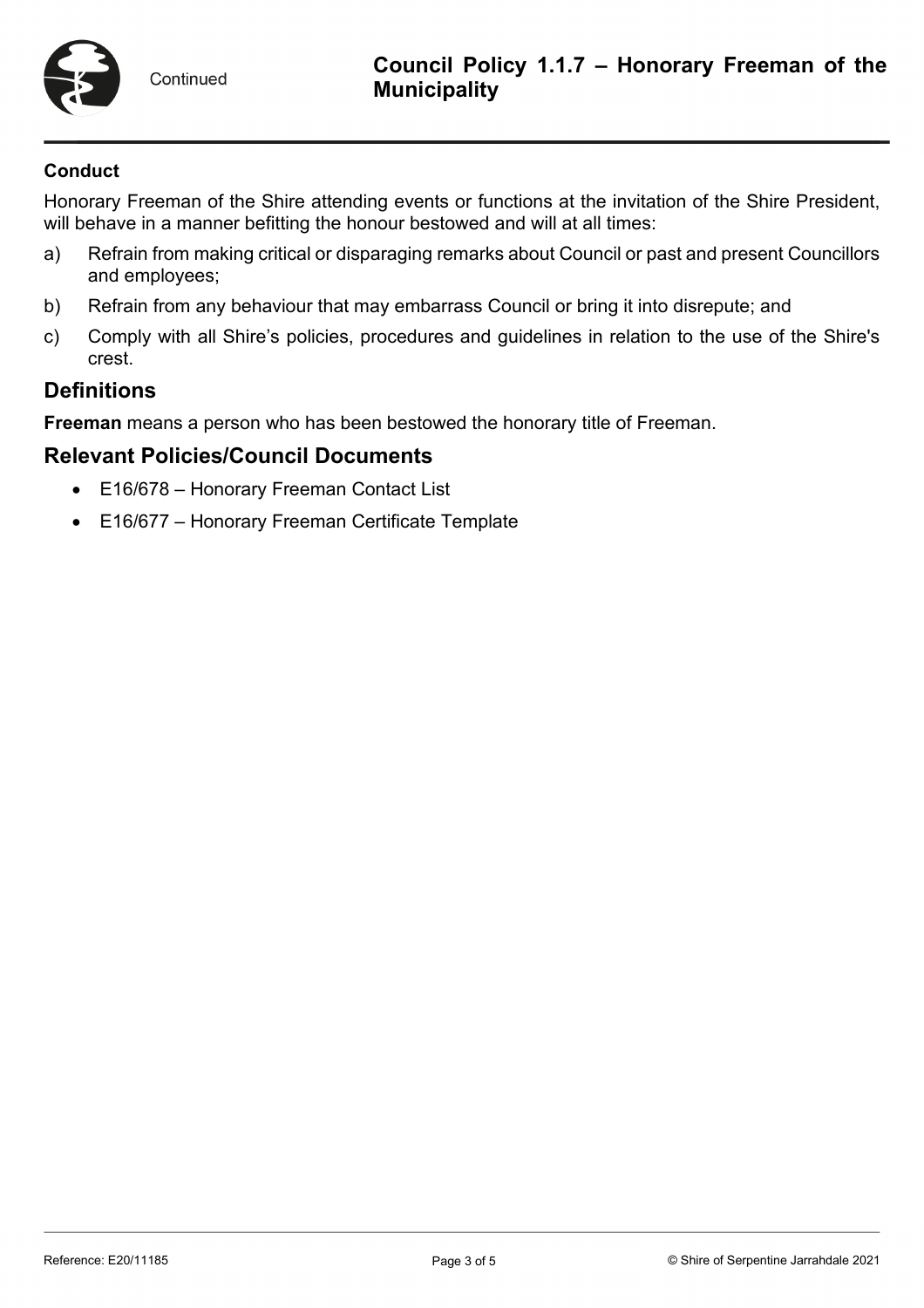

#### **Conduct**

Honorary Freeman of the Shire attending events or functions at the invitation of the Shire President, will behave in a manner befitting the honour bestowed and will at all times:

- a) Refrain from making critical or disparaging remarks about Council or past and present Councillors and employees;
- b) Refrain from any behaviour that may embarrass Council or bring it into disrepute; and
- c) Comply with all Shire's policies, procedures and guidelines in relation to the use of the Shire's crest.

## **Definitions**

**Freeman** means a person who has been bestowed the honorary title of Freeman.

## **Relevant Policies/Council Documents**

- E16/678 Honorary Freeman Contact List
- E16/677 Honorary Freeman Certificate Template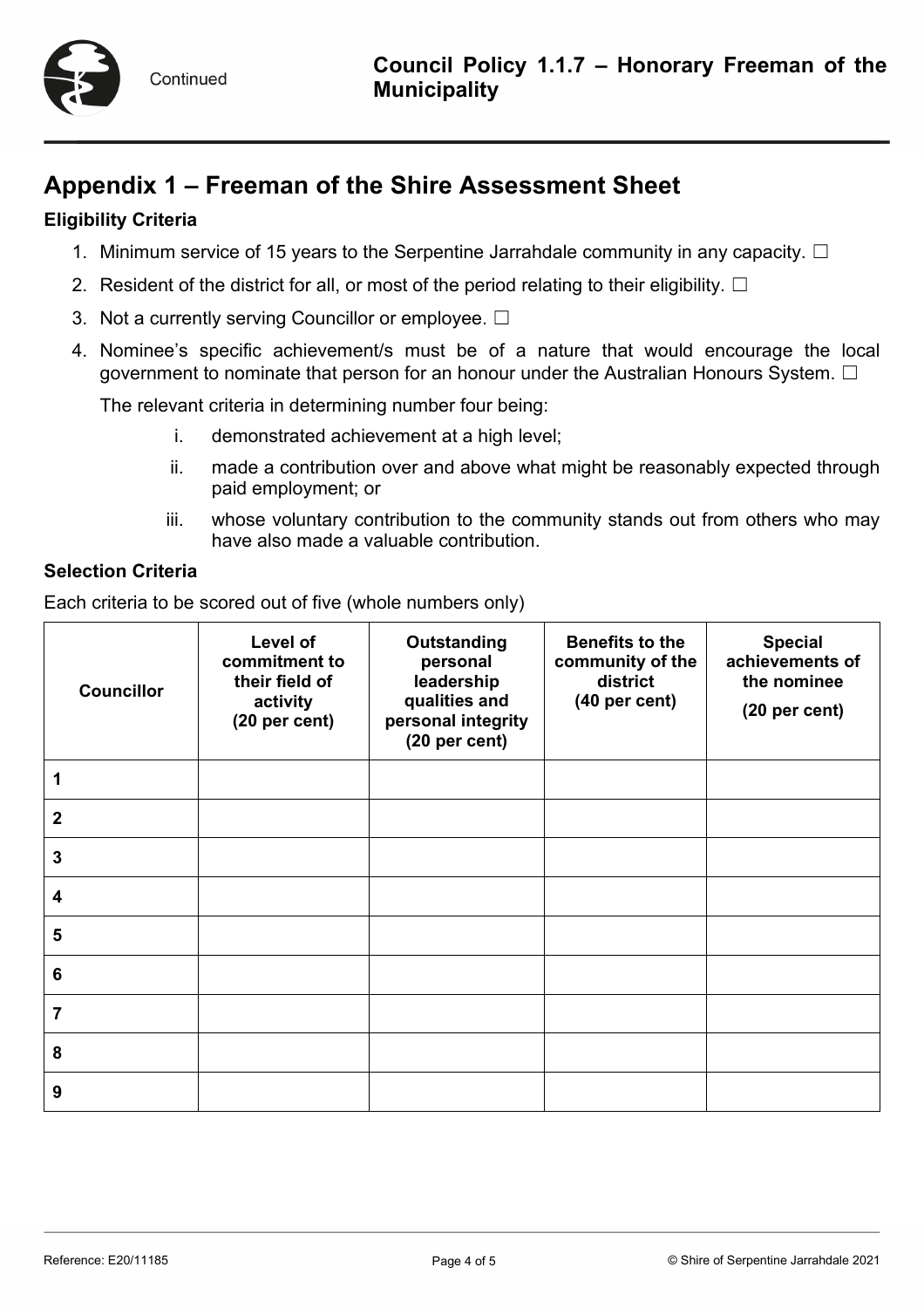

## **Appendix 1 – Freeman of the Shire Assessment Sheet**

## **Eligibility Criteria**

- 1. Minimum service of 15 years to the Serpentine Jarrahdale community in any capacity.  $\Box$
- 2. Resident of the district for all, or most of the period relating to their eligibility.  $\Box$
- 3. Not a currently serving Councillor or employee. □
- 4. Nominee's specific achievement/s must be of a nature that would encourage the local government to nominate that person for an honour under the Australian Honours System.  $\Box$

The relevant criteria in determining number four being:

- i. demonstrated achievement at a high level;
- ii. made a contribution over and above what might be reasonably expected through paid employment; or
- iii. whose voluntary contribution to the community stands out from others who may have also made a valuable contribution.

#### **Selection Criteria**

Each criteria to be scored out of five (whole numbers only)

| <b>Councillor</b> | Level of<br>commitment to<br>their field of<br>activity<br>(20 per cent) | <b>Outstanding</b><br>personal<br>leadership<br>qualities and<br>personal integrity<br>(20 per cent) | <b>Benefits to the</b><br>community of the<br>district<br>(40 per cent) | <b>Special</b><br>achievements of<br>the nominee<br>(20 per cent) |
|-------------------|--------------------------------------------------------------------------|------------------------------------------------------------------------------------------------------|-------------------------------------------------------------------------|-------------------------------------------------------------------|
| 1                 |                                                                          |                                                                                                      |                                                                         |                                                                   |
| $\mathbf 2$       |                                                                          |                                                                                                      |                                                                         |                                                                   |
| $\mathbf 3$       |                                                                          |                                                                                                      |                                                                         |                                                                   |
| 4                 |                                                                          |                                                                                                      |                                                                         |                                                                   |
| 5                 |                                                                          |                                                                                                      |                                                                         |                                                                   |
| $\bf 6$           |                                                                          |                                                                                                      |                                                                         |                                                                   |
| 7                 |                                                                          |                                                                                                      |                                                                         |                                                                   |
| 8                 |                                                                          |                                                                                                      |                                                                         |                                                                   |
| 9                 |                                                                          |                                                                                                      |                                                                         |                                                                   |